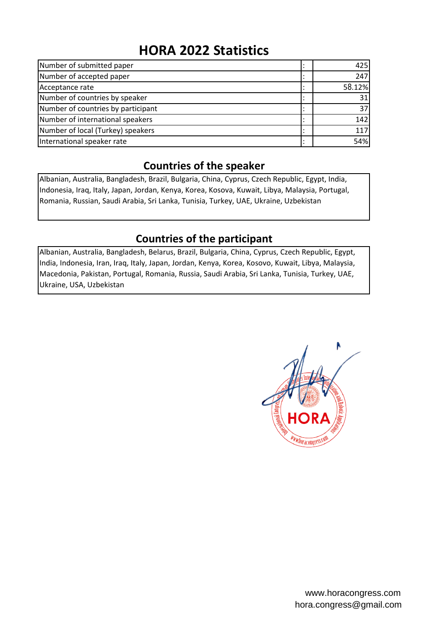# **HORA 2022 Statistics**

| Number of submitted paper          | 425    |
|------------------------------------|--------|
| Number of accepted paper           | 247    |
| Acceptance rate                    | 58.12% |
| Number of countries by speaker     | 31     |
| Number of countries by participant | 37     |
| Number of international speakers   | 142    |
| Number of local (Turkey) speakers  | 117    |
| International speaker rate         | 54%    |

# **Countries of the speaker**

Albanian, Australia, Bangladesh, Brazil, Bulgaria, China, Cyprus, Czech Republic, Egypt, India, Indonesia, Iraq, Italy, Japan, Jordan, Kenya, Korea, Kosova, Kuwait, Libya, Malaysia, Portugal, Romania, Russian, Saudi Arabia, Sri Lanka, Tunisia, Turkey, UAE, Ukraine, Uzbekistan

# **Countries of the participant**

Albanian, Australia, Bangladesh, Belarus, Brazil, Bulgaria, China, Cyprus, Czech Republic, Egypt, India, Indonesia, Iran, Iraq, Italy, Japan, Jordan, Kenya, Korea, Kosovo, Kuwait, Libya, Malaysia, Macedonia, Pakistan, Portugal, Romania, Russia, Saudi Arabia, Sri Lanka, Tunisia, Turkey, UAE, Ukraine, USA, Uzbekistan

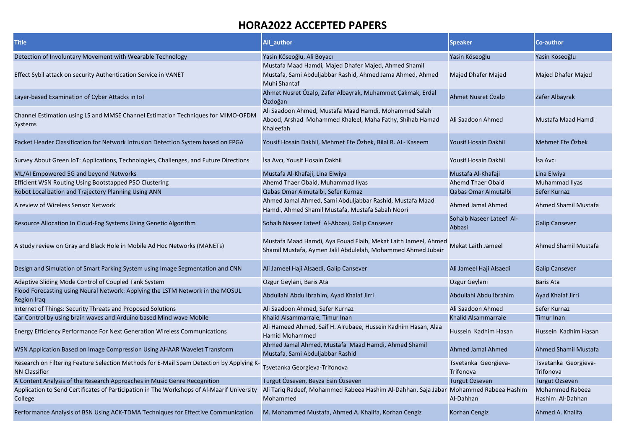| <b>Title</b>                                                                                                     | All_author                                                                                                                        | <b>Speaker</b>                     | <b>Co-author</b>                           |
|------------------------------------------------------------------------------------------------------------------|-----------------------------------------------------------------------------------------------------------------------------------|------------------------------------|--------------------------------------------|
| Detection of Involuntary Movement with Wearable Technology                                                       | Yasin Köseoğlu, Ali Boyacı                                                                                                        | Yasin Köseoğlu                     | Yasin Köseoğlu                             |
| Effect Sybil attack on security Authentication Service in VANET                                                  | Mustafa Maad Hamdi, Majed Dhafer Majed, Ahmed Shamil<br>Mustafa, Sami Abduljabbar Rashid, Ahmed Jama Ahmed, Ahmed<br>Muhi Shantaf | <b>Majed Dhafer Majed</b>          | Majed Dhafer Majed                         |
| Layer-based Examination of Cyber Attacks in IoT                                                                  | Ahmet Nusret Özalp, Zafer Albayrak, Muhammet Çakmak, Erdal<br>Özdoğan                                                             | Ahmet Nusret Özalp                 | Zafer Albayrak                             |
| Channel Estimation using LS and MMSE Channel Estimation Techniques for MIMO-OFDN<br>Systems                      | Ali Saadoon Ahmed, Mustafa Maad Hamdi, Mohammed Salah<br>Abood, Arshad Mohammed Khaleel, Maha Fathy, Shihab Hamad<br>Khaleefah    | Ali Saadoon Ahmed                  | Mustafa Maad Hamdi                         |
| Packet Header Classification for Network Intrusion Detection System based on FPGA                                | Yousif Hosain Dakhil, Mehmet Efe Özbek, Bilal R. AL- Kaseem                                                                       | <b>Yousif Hosain Dakhil</b>        | Mehmet Efe Özbek                           |
| Survey About Green IoT: Applications, Technologies, Challenges, and Future Directions                            | İsa Avcı, Yousif Hosain Dakhil                                                                                                    | Yousif Hosain Dakhil               | İsa Avcı                                   |
| ML/AI Empowered 5G and beyond Networks                                                                           | Mustafa Al-Khafaji, Lina Elwiya                                                                                                   | Mustafa Al-Khafaji                 | Lina Elwiya                                |
| Efficient WSN Routing Using Bootstapped PSO Clustering                                                           | Ahemd Thaer Obaid, Muhammad Ilyas                                                                                                 | <b>Ahemd Thaer Obaid</b>           | Muhammad Ilyas                             |
| Robot Localization and Trajectory Planning Using ANN                                                             | Qabas Omar Almutalbi, Sefer Kurnaz                                                                                                | Qabas Omar Almutalbi               | Sefer Kurnaz                               |
| A review of Wireless Sensor Network                                                                              | Ahmed Jamal Ahmed, Sami Abduljabbar Rashid, Mustafa Maad<br>Hamdi, Ahmed Shamil Mustafa, Mustafa Sabah Noori                      | Ahmed Jamal Ahmed                  | <b>Ahmed Shamil Mustafa</b>                |
| Resource Allocation In Cloud-Fog Systems Using Genetic Algorithm                                                 | Sohaib Naseer Lateef Al-Abbasi, Galip Cansever                                                                                    | Sohaib Naseer Lateef Al-<br>Abbasi | <b>Galip Cansever</b>                      |
| A study review on Gray and Black Hole in Mobile Ad Hoc Networks (MANETs)                                         | Mustafa Maad Hamdi, Aya Fouad Flaih, Mekat Laith Jameel, Ahmed<br>Shamil Mustafa, Aymen Jalil Abdulelah, Mohammed Ahmed Jubair    | Mekat Laith Jameel                 | <b>Ahmed Shamil Mustafa</b>                |
| Design and Simulation of Smart Parking System using Image Segmentation and CNN                                   | Ali Jameel Haji Alsaedi, Galip Cansever                                                                                           | Ali Jameel Haji Alsaedi            | <b>Galip Cansever</b>                      |
| Adaptive Sliding Mode Control of Coupled Tank System                                                             | Ozgur Geylani, Baris Ata                                                                                                          | Ozgur Geylani                      | Baris Ata                                  |
| Flood Forecasting using Neural Network: Applying the LSTM Network in the MOSUL<br><b>Region Iraq</b>             | Abdullahi Abdu Ibrahim, Ayad Khalaf Jirri                                                                                         | Abdullahi Abdu Ibrahim             | Ayad Khalaf Jirri                          |
| Internet of Things: Security Threats and Proposed Solutions                                                      | Ali Saadoon Ahmed, Sefer Kurnaz                                                                                                   | Ali Saadoon Ahmed                  | Sefer Kurnaz                               |
| Car Control by using brain waves and Arduino based Mind wave Mobile                                              | Khalid Alsammarraie, Timur Inan                                                                                                   | Khalid Alsammarraie                | Timur Inan                                 |
| <b>Energy Efficiency Performance For Next Generation Wireless Communications</b>                                 | Ali Hameed Ahmed, Saif H. Alrubaee, Hussein Kadhim Hasan, Alaa<br><b>Hamid Mohammed</b>                                           | Hussein Kadhim Hasan               | Hussein Kadhim Hasan                       |
| WSN Application Based on Image Compression Using AHAAR Wavelet Transform                                         | Ahmed Jamal Ahmed, Mustafa Maad Hamdi, Ahmed Shamil<br>Mustafa, Sami Abduljabbar Rashid                                           | Ahmed Jamal Ahmed                  | Ahmed Shamil Mustafa                       |
| Research on Filtering Feature Selection Methods for E-Mail Spam Detection by Applying K-<br><b>NN Classifier</b> | Tsvetanka Georgieva-Trifonova                                                                                                     | Tsvetanka Georgieva-<br>Trifonova  | Tsvetanka Georgieva-<br>Trifonova          |
| A Content Analysis of the Research Approaches in Music Genre Recognition                                         | Turgut Özseven, Beyza Esin Özseven                                                                                                | Turgut Özseven                     | Turgut Özseven                             |
| Application to Send Certificates of Participation in The Workshops of Al-Maarif University<br>College            | Ali Tariq Radeef, Mohammed Rabeea Hashim Al-Dahhan, Saja Jabar Mohammed Rabeea Hashim<br>Mohammed                                 | Al-Dahhan                          | <b>Mohammed Rabeea</b><br>Hashim Al-Dahhan |
| Performance Analysis of BSN Using ACK-TDMA Techniques for Effective Communication                                | M. Mohammed Mustafa, Ahmed A. Khalifa, Korhan Cengiz                                                                              | Korhan Cengiz                      | Ahmed A. Khalifa                           |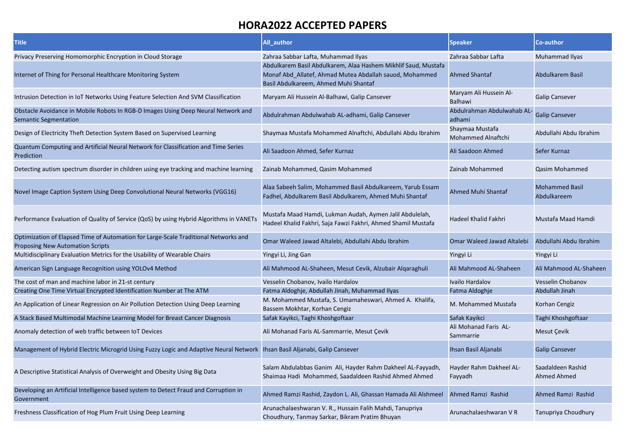| <b>Title</b>                                                                                                                   | <b>All author</b>                                                                                                                                                  | <b>Speaker</b>                        | Co-author                            |
|--------------------------------------------------------------------------------------------------------------------------------|--------------------------------------------------------------------------------------------------------------------------------------------------------------------|---------------------------------------|--------------------------------------|
| Privacy Preserving Homomorphic Encryption in Cloud Storage                                                                     | Zahraa Sabbar Lafta, Muhammad Ilyas                                                                                                                                | Zahraa Sabbar Lafta                   | Muhammad Ilyas                       |
| Internet of Thing for Personal Healthcare Monitoring System                                                                    | Abdulkarem Basil Abdulkarem, Alaa Hashem Mikhlif Saud, Mustafa<br>Monaf Abd_Allatef, Ahmad Mutea Abdallah sauod, Mohammed<br>Basil Abdulkareem, Ahmed Muhi Shantaf | <b>Ahmed Shantaf</b>                  | Abdulkarem Basil                     |
| Intrusion Detection in IoT Networks Using Feature Selection And SVM Classification                                             | Maryam Ali Hussein Al-Balhawi, Galip Cansever                                                                                                                      | Maryam Ali Hussein Al-<br>Balhawi     | <b>Galip Cansever</b>                |
| Obstacle Avoidance in Mobile Robots In RGB-D Images Using Deep Neural Network and<br><b>Semantic Segmentation</b>              | Abdulrahman Abdulwahab AL-adhami, Galip Cansever                                                                                                                   | Abdulrahman Abdulwahab AL-<br>adhami  | <b>Galip Cansever</b>                |
| Design of Electricity Theft Detection System Based on Supervised Learning                                                      | Shaymaa Mustafa Mohammed Alnaftchi, Abdullahi Abdu Ibrahim                                                                                                         | Shaymaa Mustafa<br>Mohammed Alnaftchi | Abdullahi Abdu Ibrahim               |
| Quantum Computing and Artificial Neural Network for Classification and Time Series<br>Prediction                               | Ali Saadoon Ahmed, Sefer Kurnaz                                                                                                                                    | Ali Saadoon Ahmed                     | Sefer Kurnaz                         |
| Detecting autism spectrum disorder in children using eye tracking and machine learning                                         | Zainab Mohammed, Qasim Mohammed                                                                                                                                    | Zainab Mohammed                       | <b>Qasim Mohammed</b>                |
| Novel Image Caption System Using Deep Convolutional Neural Networks (VGG16)                                                    | Alaa Sabeeh Salim, Mohammed Basil Abdulkareem, Yarub Essam<br>Fadhel, Abdulkarem Basil Abdulkarem, Ahmed Muhi Shantaf                                              | Ahmed Muhi Shantaf                    | <b>Mohammed Basil</b><br>Abdulkareem |
| Performance Evaluation of Quality of Service (QoS) by using Hybrid Algorithms in VANETs                                        | Mustafa Maad Hamdi, Lukman Audah, Aymen Jalil Abdulelah,<br>Hadeel Khalid Fakhri, Saja Fawzi Fakhri, Ahmed Shamil Mustafa                                          | Hadeel Khalid Fakhri                  | Mustafa Maad Hamdi                   |
| Optimization of Elapsed Time of Automation for Large-Scale Traditional Networks and<br><b>Proposing New Automation Scripts</b> | Omar Waleed Jawad Altalebi, Abdullahi Abdu Ibrahim                                                                                                                 | Omar Waleed Jawad Altalebi            | Abdullahi Abdu Ibrahim               |
| Multidisciplinary Evaluation Metrics for the Usability of Wearable Chairs                                                      | Yingyi Li, Jing Gan                                                                                                                                                | Yingyi Li                             | Yingyi Li                            |
| American Sign Language Recognition using YOLOv4 Method                                                                         | Ali Mahmood AL-Shaheen, Mesut Cevik, Alzubair Alqaraghuli                                                                                                          | Ali Mahmood AL-Shaheen                | Ali Mahmood AL-Shaheen               |
| The cost of man and machine labor in 21-st century                                                                             | Vesselin Chobanov, Ivailo Hardalov                                                                                                                                 | Ivailo Hardalov                       | Vesselin Chobanov                    |
| Creating One Time Virtual Encrypted Identification Number at The ATM                                                           | Fatma Aldoghje, Abdullah Jinah, Muhammad Ilyas                                                                                                                     | Fatma Aldoghje                        | Abdullah Jinah                       |
| An Application of Linear Regression on Air Pollution Detection Using Deep Learning                                             | M. Mohammed Mustafa, S. Umamaheswari, Ahmed A. Khalifa,<br>Bassem Mokhtar, Korhan Cengiz                                                                           | M. Mohammed Mustafa                   | Korhan Cengiz                        |
| A Stack Based Multimodal Machine Learning Model for Breast Cancer Diagnosis                                                    | Safak Kayikci, Taghi Khoshgoftaar                                                                                                                                  | Safak Kayikci                         | Taghi Khoshgoftaar                   |
| Anomaly detection of web traffic between IoT Devices                                                                           | Ali Mohanad Faris AL-Sammarrie, Mesut Çevik                                                                                                                        | Ali Mohanad Faris AL-<br>Sammarrie    | Mesut Çevik                          |
| Management of Hybrid Electric Microgrid Using Fuzzy Logic and Adaptive Neural Network Ihsan Basil Aljanabi, Galip Cansever     |                                                                                                                                                                    | Ihsan Basil Aljanabi                  | <b>Galip Cansever</b>                |
| A Descriptive Statistical Analysis of Overweight and Obesity Using Big Data                                                    | Salam Abdulabbas Ganim Ali, Hayder Rahm Dakheel AL-Fayyadh,<br>Shaimaa Hadi Mohammed, Saadaldeen Rashid Ahmed Ahmed                                                | Hayder Rahm Dakheel AL-<br>Fayyadh    | Saadaldeen Rashid<br>Ahmed Ahmed     |
| Developing an Artificial Intelligence based system to Detect Fraud and Corruption in<br>Government                             | Ahmed Ramzi Rashid, Zaydon L. Ali, Ghassan Hamada Ali Alshmeel                                                                                                     | Ahmed Ramzi Rashid                    | Ahmed Ramzi Rashid                   |
| Freshness Classification of Hog Plum Fruit Using Deep Learning                                                                 | Arunachalaeshwaran V. R., Hussain Falih Mahdi, Tanupriya<br>Choudhury, Tanmay Sarkar, Bikram Pratim Bhuyan                                                         | Arunachalaeshwaran V R                | Tanupriya Choudhury                  |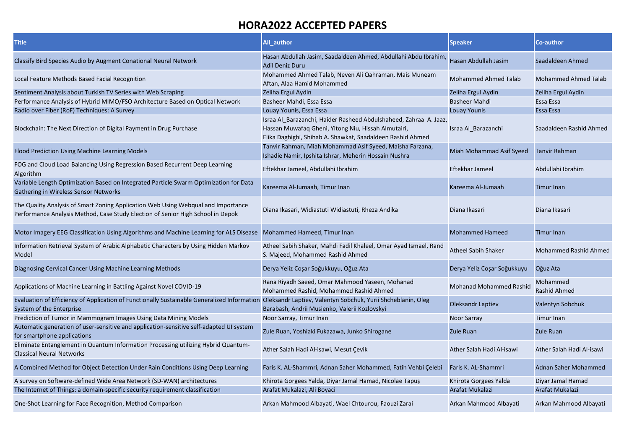| <b>Title</b>                                                                                                                                                                         | All author                                                                                                                                                                             | <b>Speaker</b>                           | <b>Co-author</b>                     |
|--------------------------------------------------------------------------------------------------------------------------------------------------------------------------------------|----------------------------------------------------------------------------------------------------------------------------------------------------------------------------------------|------------------------------------------|--------------------------------------|
| Classify Bird Species Audio by Augment Conational Neural Network                                                                                                                     | Hasan Abdullah Jasim, Saadaldeen Ahmed, Abdullahi Abdu Ibrahim,<br><b>Adil Deniz Duru</b>                                                                                              | Hasan Abdullah Jasim                     | Saadaldeen Ahmed                     |
| Local Feature Methods Based Facial Recognition                                                                                                                                       | Mohammed Ahmed Talab, Neven Ali Qahraman, Mais Muneam<br>Aftan, Alaa Hamid Mohammed                                                                                                    | <b>Mohammed Ahmed Talab</b>              | <b>Mohammed Ahmed Talab</b>          |
| Sentiment Analysis about Turkish TV Series with Web Scraping                                                                                                                         | Zeliha Ergul Aydin                                                                                                                                                                     | Zeliha Ergul Aydin                       | Zeliha Ergul Aydin                   |
| Performance Analysis of Hybrid MIMO/FSO Architecture Based on Optical Network                                                                                                        | Basheer Mahdi, Essa Essa                                                                                                                                                               | <b>Basheer Mahdi</b>                     | Essa Essa                            |
| Radio over Fiber (RoF) Techniques: A Survey                                                                                                                                          | Louay Younis, Essa Essa                                                                                                                                                                | <b>Louay Younis</b>                      | Essa Essa                            |
| Blockchain: The Next Direction of Digital Payment in Drug Purchase                                                                                                                   | Israa Al Barazanchi, Haider Rasheed Abdulshaheed, Zahraa A. Jaaz,<br>Hassan Muwafaq Gheni, Yitong Niu, Hissah Almutairi,<br>Elika Daghighi, Shihab A. Shawkat, Saadaldeen Rashid Ahmed | Israa Al Barazanchi                      | Saadaldeen Rashid Ahmed              |
| Flood Prediction Using Machine Learning Models                                                                                                                                       | Tanvir Rahman, Miah Mohammad Asif Syeed, Maisha Farzana,<br>Ishadie Namir, Ipshita Ishrar, Meherin Hossain Nushra                                                                      | Miah Mohammad Asif Syeed                 | <b>Tanvir Rahman</b>                 |
| FOG and Cloud Load Balancing Using Regression Based Recurrent Deep Learning<br>Algorithm                                                                                             | Eftekhar Jameel, Abdullahi Ibrahim                                                                                                                                                     | Eftekhar Jameel                          | Abdullahi Ibrahim                    |
| Variable Length Optimization Based on Integrated Particle Swarm Optimization for Data<br><b>Gathering in Wireless Sensor Networks</b>                                                | Kareema Al-Jumaah, Timur Inan                                                                                                                                                          | Kareema Al-Jumaah                        | <b>Timur Inan</b>                    |
| The Quality Analysis of Smart Zoning Application Web Using Webqual and Importance<br>Performance Analysis Method, Case Study Election of Senior High School in Depok                 | Diana Ikasari, Widiastuti Widiastuti, Rheza Andika                                                                                                                                     | Diana Ikasari                            | Diana Ikasari                        |
| Motor Imagery EEG Classification Using Algorithms and Machine Learning for ALS Disease Mohammed Hameed, Timur Inan                                                                   |                                                                                                                                                                                        | <b>Mohammed Hameed</b>                   | <b>Timur Inan</b>                    |
| Information Retrieval System of Arabic Alphabetic Characters by Using Hidden Markov<br>Model                                                                                         | Atheel Sabih Shaker, Mahdi Fadil Khaleel, Omar Ayad Ismael, Rand<br>S. Majeed, Mohammed Rashid Ahmed                                                                                   | <b>Atheel Sabih Shaker</b>               | <b>Mohammed Rashid Ahmed</b>         |
| Diagnosing Cervical Cancer Using Machine Learning Methods                                                                                                                            | Derya Yeliz Coşar Soğukkuyu, Oğuz Ata                                                                                                                                                  | Derya Yeliz Coşar Soğukkuyu              | Oğuz Ata                             |
| Applications of Machine Learning in Battling Against Novel COVID-19                                                                                                                  | Rana Riyadh Saeed, Omar Mahmood Yaseen, Mohanad<br>Mohammed Rashid, Mohammed Rashid Ahmed                                                                                              | <b>Mohanad Mohammed Rashid</b>           | Mohammed<br>Rashid Ahmed             |
| Evaluation of Efficiency of Application of Functionally Sustainable Generalized Information Oleksandr Laptiev, Valentyn Sobchuk, Yurii Shcheblanin, Oleg<br>System of the Enterprise | Barabash, Andrii Musienko, Valerii Kozlovskyi                                                                                                                                          | <b>Oleksandr Laptiev</b>                 | Valentyn Sobchuk                     |
| Prediction of Tumor in Mammogram Images Using Data Mining Models                                                                                                                     | Noor Sarray, Timur Inan                                                                                                                                                                | Noor Sarray                              | <b>Timur Inan</b>                    |
| Automatic generation of user-sensitive and application-sensitive self-adapted UI system<br>for smartphone applications                                                               | Zule Ruan, Yoshiaki Fukazawa, Junko Shirogane                                                                                                                                          | Zule Ruan                                | <b>Zule Ruan</b>                     |
| Eliminate Entanglement in Quantum Information Processing utilizing Hybrid Quantum-<br><b>Classical Neural Networks</b>                                                               | Ather Salah Hadi Al-isawi, Mesut Çevik                                                                                                                                                 | Ather Salah Hadi Al-isawi                | Ather Salah Hadi Al-isawi            |
| A Combined Method for Object Detection Under Rain Conditions Using Deep Learning                                                                                                     | Faris K. AL-Shammri, Adnan Saher Mohammed, Fatih Vehbi Çelebi                                                                                                                          | Faris K. AL-Shammri                      | Adnan Saher Mohammed                 |
| A survey on Software-defined Wide Area Network (SD-WAN) architectures<br>The Internet of Things: a domain-specific security requirement classification                               | Khirota Gorgees Yalda, Diyar Jamal Hamad, Nicolae Tapuş<br>Arafat Mukalazi, Ali Boyaci                                                                                                 | Khirota Gorgees Yalda<br>Arafat Mukalazi | Diyar Jamal Hamad<br>Arafat Mukalazi |
| One-Shot Learning for Face Recognition, Method Comparison                                                                                                                            | Arkan Mahmood Albayati, Wael Chtourou, Faouzi Zarai                                                                                                                                    | Arkan Mahmood Albayati                   | Arkan Mahmood Albayati               |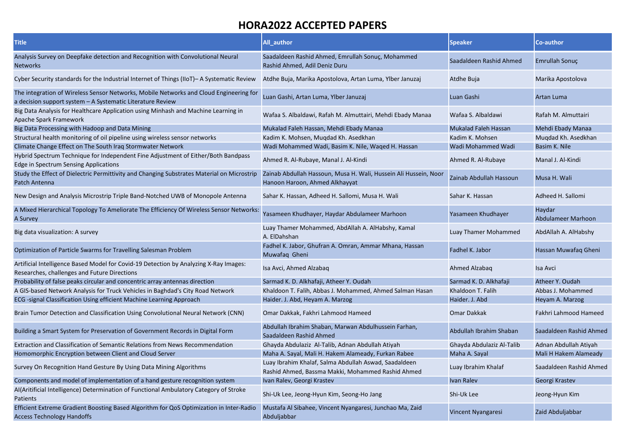| <b>Title</b>                                                                                                                                         | All author                                                                                                 | <b>Speaker</b>              | Co-author                    |
|------------------------------------------------------------------------------------------------------------------------------------------------------|------------------------------------------------------------------------------------------------------------|-----------------------------|------------------------------|
| Analysis Survey on Deepfake detection and Recognition with Convolutional Neural<br><b>Networks</b>                                                   | Saadaldeen Rashid Ahmed, Emrullah Sonuç, Mohammed<br>Rashid Ahmed, Adil Deniz Duru                         | Saadaldeen Rashid Ahmed     | Emrullah Sonuç               |
| Cyber Security standards for the Industrial Internet of Things (IIoT)– A Systematic Review                                                           | Atdhe Buja, Marika Apostolova, Artan Luma, Ylber Januzaj                                                   | Atdhe Buja                  | Marika Apostolova            |
| The integration of Wireless Sensor Networks, Mobile Networks and Cloud Engineering for<br>a decision support system - A Systematic Literature Review | Luan Gashi, Artan Luma, Ylber Januzaj                                                                      | Luan Gashi                  | Artan Luma                   |
| Big Data Analysis for Healthcare Application using Minhash and Machine Learning in<br>Apache Spark Framework                                         | Wafaa S. Albaldawi, Rafah M. Almuttairi, Mehdi Ebady Manaa                                                 | Wafaa S. Albaldawi          | Rafah M. Almuttairi          |
| Big Data Processing with Hadoop and Data Mining                                                                                                      | Mukalad Faleh Hassan, Mehdi Ebady Manaa                                                                    | <b>Mukalad Faleh Hassan</b> | Mehdi Ebady Manaa            |
| Structural health monitoring of oil pipeline using wireless sensor networks                                                                          | Kadim K. Mohsen, Mugdad Kh. Asedkhan                                                                       | Kadim K. Mohsen             | Mugdad Kh. Asedkhan          |
| Climate Change Effect on The South Iraq Stormwater Network                                                                                           | Wadi Mohammed Wadi, Basim K. Nile, Waqed H. Hassan                                                         | Wadi Mohammed Wadi          | Basim K. Nile                |
| Hybrid Spectrum Technique for Independent Fine Adjustment of Either/Both Bandpass<br>Edge in Spectrum Sensing Applications                           | Ahmed R. Al-Rubaye, Manal J. Al-Kindi                                                                      | Ahmed R. Al-Rubaye          | Manal J. Al-Kindi            |
| Study the Effect of Dielectric Permittivity and Changing Substrates Material on Microstrip<br>Patch Antenna                                          | Zainab Abdullah Hassoun, Musa H. Wali, Hussein Ali Hussein, Noor<br>Hanoon Haroon, Ahmed Alkhayyat         | Zainab Abdullah Hassoun     | Musa H. Wali                 |
| New Design and Analysis Microstrip Triple Band-Notched UWB of Monopole Antenna                                                                       | Sahar K. Hassan, Adheed H. Sallomi, Musa H. Wali                                                           | Sahar K. Hassan             | Adheed H. Sallomi            |
| A Mixed Hierarchical Topology To Ameliorate The Efficiency Of Wireless Sensor Networks:<br>A Survey                                                  | Yasameen Khudhayer, Haydar Abdulameer Marhoon                                                              | Yasameen Khudhayer          | Haydar<br>Abdulameer Marhoon |
| Big data visualization: A survey                                                                                                                     | Luay Thamer Mohammed, AbdAllah A. AlHabshy, Kamal<br>A. ElDahshan                                          | Luay Thamer Mohammed        | AbdAllah A. AlHabshy         |
| Optimization of Particle Swarms for Travelling Salesman Problem                                                                                      | Fadhel K. Jabor, Ghufran A. Omran, Ammar Mhana, Hassan<br>Muwafaq Gheni                                    | Fadhel K. Jabor             | Hassan Muwafaq Gheni         |
| Artificial Intelligence Based Model for Covid-19 Detection by Analyzing X-Ray Images:<br>Researches, challenges and Future Directions                | Isa Avci, Ahmed Alzabag                                                                                    | Ahmed Alzabag               | Isa Avci                     |
| Probability of false peaks circular and concentric array antennas direction                                                                          | Sarmad K. D. Alkhafaji, Atheer Y. Oudah                                                                    | Sarmad K. D. Alkhafaji      | Atheer Y. Oudah              |
| A GIS-based Network Analysis for Truck Vehicles in Baghdad's City Road Network                                                                       | Khaldoon T. Falih, Abbas J. Mohammed, Ahmed Salman Hasan                                                   | Khaldoon T. Falih           | Abbas J. Mohammed            |
| ECG -signal Classification Using efficient Machine Learning Approach                                                                                 | Haider. J. Abd, Heyam A. Marzog                                                                            | Haider. J. Abd              | Heyam A. Marzog              |
| Brain Tumor Detection and Classification Using Convolutional Neural Network (CNN)                                                                    | Omar Dakkak, Fakhri Lahmood Hameed                                                                         | Omar Dakkak                 | Fakhri Lahmood Hameed        |
| Building a Smart System for Preservation of Government Records in Digital Form                                                                       | Abdullah Ibrahim Shaban, Marwan Abdulhussein Farhan,<br>Saadaldeen Rashid Ahmed                            | Abdullah Ibrahim Shaban     | Saadaldeen Rashid Ahmed      |
| <b>Extraction and Classification of Semantic Relations from News Recommendation</b>                                                                  | Ghayda Abdulaziz Al-Talib, Adnan Abdullah Atiyah                                                           | Ghayda Abdulaziz Al-Talib   | Adnan Abdullah Atiyah        |
| Homomorphic Encryption between Client and Cloud Server                                                                                               | Maha A. Sayal, Mali H. Hakem Alameady, Furkan Rabee                                                        | Maha A. Sayal               | Mali H Hakem Alameady        |
| Survey On Recognition Hand Gesture By Using Data Mining Algorithms                                                                                   | Luay Ibrahim Khalaf, Salma Abdullah Aswad, Saadaldeen<br>Rashid Ahmed, Bassma Makki, Mohammed Rashid Ahmed | Luay Ibrahim Khalaf         | Saadaldeen Rashid Ahmed      |
| Components and model of implementation of a hand gesture recognition system                                                                          | Ivan Ralev, Georgi Krastev                                                                                 | <b>Ivan Ralev</b>           | Georgi Krastev               |
| Al(Aritificial Intelligence) Determination of Functional Ambulatory Category of Stroke<br>Patients                                                   | Shi-Uk Lee, Jeong-Hyun Kim, Seong-Ho Jang                                                                  | Shi-Uk Lee                  | Jeong-Hyun Kim               |
| Efficient Extreme Gradient Boosting Based Algorithm for QoS Optimization in Inter-Radio<br><b>Access Technology Handoffs</b>                         | Mustafa Al Sibahee, Vincent Nyangaresi, Junchao Ma, Zaid<br>Abduljabbar                                    | <b>Vincent Nyangaresi</b>   | Zaid Abduljabbar             |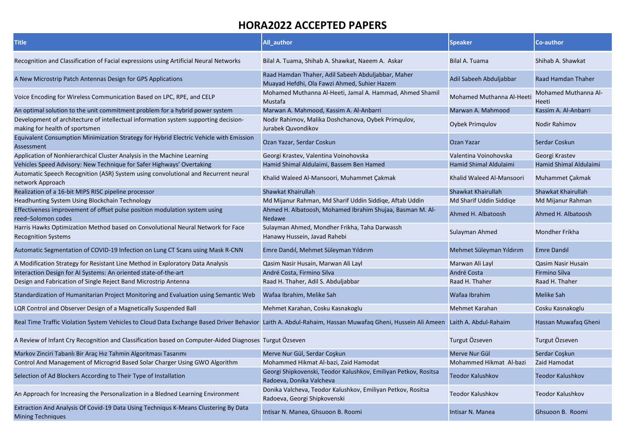| <b>Title</b>                                                                                                                                            | All_author                                                                                         | <b>Speaker</b>            | <b>Co-author</b>              |
|---------------------------------------------------------------------------------------------------------------------------------------------------------|----------------------------------------------------------------------------------------------------|---------------------------|-------------------------------|
| Recognition and Classification of Facial expressions using Artificial Neural Networks                                                                   | Bilal A. Tuama, Shihab A. Shawkat, Naeem A. Askar                                                  | Bilal A. Tuama            | Shihab A. Shawkat             |
| A New Microstrip Patch Antennas Design for GPS Applications                                                                                             | Raad Hamdan Thaher, Adil Sabeeh Abduljabbar, Maher<br>Muayad Hefdhi, Ola Fawzi Ahmed, Suhier Hazem | Adil Sabeeh Abduljabbar   | Raad Hamdan Thaher            |
| Voice Encoding for Wireless Communication Based on LPC, RPE, and CELP                                                                                   | Mohamed Muthanna Al-Heeti, Jamal A. Hammad, Ahmed Shamil<br>Mustafa                                | Mohamed Muthanna Al-Heeti | Mohamed Muthanna Al-<br>Heeti |
| An optimal solution to the unit commitment problem for a hybrid power system                                                                            | Marwan A. Mahmood, Kassim A. Al-Anbarri                                                            | Marwan A. Mahmood         | Kassim A. Al-Anbarri          |
| Development of architecture of intellectual information system supporting decision-<br>making for health of sportsmen                                   | Nodir Rahimov, Malika Doshchanova, Oybek Primgulov,<br>Jurabek Quvondikov                          | <b>Oybek Primqulov</b>    | <b>Nodir Rahimov</b>          |
| Equivalent Consumption Minimization Strategy for Hybrid Electric Vehicle with Emission<br>Assessment                                                    | Ozan Yazar, Serdar Coskun                                                                          | <b>Ozan Yazar</b>         | Serdar Coskun                 |
| Application of Nonhierarchical Cluster Analysis in the Machine Learning                                                                                 | Georgi Krastev, Valentina Voinohovska                                                              | Valentina Voinohovska     | Georgi Krastev                |
| Vehicles Speed Advisory: New Technique for Safer Highways' Overtaking                                                                                   | Hamid Shimal Aldulaimi, Bassem Ben Hamed                                                           | Hamid Shimal Aldulaimi    | Hamid Shimal Aldulaimi        |
| Automatic Speech Recognition (ASR) System using convolutional and Recurrent neural<br>network Approach                                                  | Khalid Waleed Al-Mansoori, Muhammet Çakmak                                                         | Khalid Waleed Al-Mansoori | Muhammet Çakmak               |
| Realization of a 16-bit MIPS RISC pipeline processor                                                                                                    | <b>Shawkat Khairullah</b>                                                                          | Shawkat Khairullah        | Shawkat Khairullah            |
| Headhunting System Using Blockchain Technology                                                                                                          | Md Mijanur Rahman, Md Sharif Uddin Siddige, Aftab Uddin                                            | Md Sharif Uddin Siddige   | Md Mijanur Rahman             |
| Effectiveness improvement of offset pulse position modulation system using<br>reed-Solomon codes                                                        | Ahmed H. Albatoosh, Mohamed Ibrahim Shujaa, Basman M. Al-<br><b>Nedawe</b>                         | Ahmed H. Albatoosh        | Ahmed H. Albatoosh            |
| Harris Hawks Optimization Method based on Convolutional Neural Network for Face<br><b>Recognition Systems</b>                                           | Sulayman Ahmed, Mondher Frikha, Taha Darwassh<br>Hanawy Hussein, Javad Rahebi                      | Sulayman Ahmed            | Mondher Frikha                |
| Automatic Segmentation of COVID-19 Infection on Lung CT Scans using Mask R-CNN                                                                          | Emre Dandıl, Mehmet Süleyman Yıldırım                                                              | Mehmet Süleyman Yıldırım  | Emre Dandil                   |
| A Modification Strategy for Resistant Line Method in Exploratory Data Analysis                                                                          | Qasim Nasir Husain, Marwan Ali Layl                                                                | Marwan Ali Layl           | Qasim Nasir Husain            |
| Interaction Design for AI Systems: An oriented state-of-the-art                                                                                         | André Costa, Firmino Silva                                                                         | André Costa               | <b>Firmino Silva</b>          |
| Design and Fabrication of Single Reject Band Microstrip Antenna                                                                                         | Raad H. Thaher, Adil S. Abduljabbar                                                                | Raad H. Thaher            | Raad H. Thaher                |
| Standardization of Humanitarian Project Monitoring and Evaluation using Semantic Web                                                                    | Wafaa Ibrahim, Melike Sah                                                                          | Wafaa Ibrahim             | <b>Melike Sah</b>             |
| LQR Control and Observer Design of a Magnetically Suspended Ball                                                                                        | Mehmet Karahan, Cosku Kasnakoglu                                                                   | Mehmet Karahan            | Cosku Kasnakoglu              |
| Real Time Traffic Violation System Vehicles to Cloud Data Exchange Based Driver Behavior Laith A. Abdul-Rahaim, Hassan Muwafaq Gheni, Hussein Ali Ameen |                                                                                                    | Laith A. Abdul-Rahaim     | Hassan Muwafaq Gheni          |
| A Review of Infant Cry Recognition and Classification based on Computer-Aided Diagnoses Turgut Özseven                                                  |                                                                                                    | Turgut Özseven            | Turgut Özseven                |
| Markov Zinciri Tabanlı Bir Araç Hız Tahmin Algoritması Tasarımı                                                                                         | Merve Nur Gül, Serdar Coşkun                                                                       | Merve Nur Gül             | Serdar Coskun                 |
| Control And Management of Microgrid Based Solar Charger Using GWO Algorithm                                                                             | Mohammed Hikmat Al-bazi, Zaid Hamodat                                                              | Mohammed Hikmat Al-bazi   | Zaid Hamodat                  |
| Selection of Ad Blockers According to Their Type of Installation                                                                                        | Georgi Shipkovenski, Teodor Kalushkov, Emiliyan Petkov, Rositsa<br>Radoeva, Donika Valcheva        | <b>Teodor Kalushkov</b>   | <b>Teodor Kalushkov</b>       |
| An Approach for Increasing the Personalization in a Bledned Learning Environment                                                                        | Donika Valcheva, Teodor Kalushkov, Emiliyan Petkov, Rositsa<br>Radoeva, Georgi Shipkovenski        | <b>Teodor Kalushkov</b>   | <b>Teodor Kalushkov</b>       |
| Extraction And Analysis Of Covid-19 Data Using Techniqus K-Means Clustering By Data<br><b>Mining Techniques</b>                                         | Intisar N. Manea, Ghsuoon B. Roomi                                                                 | Intisar N. Manea          | Ghsuoon B. Roomi              |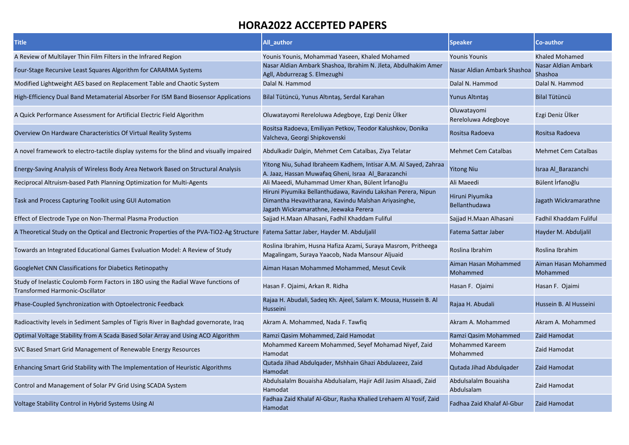| <b>Title</b>                                                                                                                        | <b>All author</b>                                                                                                                                             | <b>Speaker</b>                     | Co-author                        |
|-------------------------------------------------------------------------------------------------------------------------------------|---------------------------------------------------------------------------------------------------------------------------------------------------------------|------------------------------------|----------------------------------|
| A Review of Multilayer Thin Film Filters in the Infrared Region                                                                     | Younis Younis, Mohammad Yaseen, Khaled Mohamed                                                                                                                | <b>Younis Younis</b>               | Khaled Mohamed                   |
| Four-Stage Recursive Least Squares Algorithm for CARARMA Systems                                                                    | Nasar Aldian Ambark Shashoa, Ibrahim N. Jleta, Abdulhakim Amer<br>Agll, Abdurrezag S. Elmezughi                                                               | Nasar Aldian Ambark Shashoa        | Nasar Aldian Ambark<br>Shashoa   |
| Modified Lightweight AES based on Replacement Table and Chaotic System                                                              | Dalal N. Hammod                                                                                                                                               | Dalal N. Hammod                    | Dalal N. Hammod                  |
| High-Efficiency Dual Band Metamaterial Absorber For ISM Band Biosensor Applications                                                 | Bilal Tütüncü, Yunus Altıntaş, Serdal Karahan                                                                                                                 | Yunus Altıntaş                     | <b>Bilal Tütüncü</b>             |
| A Quick Performance Assessment for Artificial Electric Field Algorithm                                                              | Oluwatayomi Rereloluwa Adegboye, Ezgi Deniz Ülker                                                                                                             | Oluwatayomi<br>Rereloluwa Adegboye | Ezgi Deniz Ülker                 |
| Overview On Hardware Characteristics Of Virtual Reality Systems                                                                     | Rositsa Radoeva, Emiliyan Petkov, Teodor Kalushkov, Donika<br>Valcheva, Georgi Shipkovenski                                                                   | Rositsa Radoeva                    | Rositsa Radoeva                  |
| A novel framework to electro-tactile display systems for the blind and visually impaired                                            | Abdulkadir Dalgin, Mehmet Cem Catalbas, Ziya Telatar                                                                                                          | <b>Mehmet Cem Catalbas</b>         | <b>Mehmet Cem Catalbas</b>       |
| Energy-Saving Analysis of Wireless Body Area Network Based on Structural Analysis                                                   | Yitong Niu, Suhad Ibraheem Kadhem, Intisar A.M. Al Sayed, Zahraa<br>A. Jaaz, Hassan Muwafaq Gheni, Israa Al_Barazanchi                                        | <b>Yitong Niu</b>                  | Israa Al Barazanchi              |
| Reciprocal Altruism-based Path Planning Optimization for Multi-Agents                                                               | Ali Maeedi, Muhammad Umer Khan, Bülent İrfanoğlu                                                                                                              | Ali Maeedi                         | Bülent İrfanoğlu                 |
| Task and Process Capturing Toolkit using GUI Automation                                                                             | Hiruni Piyumika Bellanthudawa, Ravindu Lakshan Perera, Nipun<br>Dimantha Hevavitharana, Kavindu Malshan Ariyasinghe,<br>Jagath Wickramarathne, Jeewaka Perera | Hiruni Piyumika<br>Bellanthudawa   | Jagath Wickramarathne            |
| Effect of Electrode Type on Non-Thermal Plasma Production                                                                           | Sajjad H.Maan Alhasani, Fadhil Khaddam Fuliful                                                                                                                | Sajjad H.Maan Alhasani             | Fadhil Khaddam Fuliful           |
| A Theoretical Study on the Optical and Electronic Properties of the PVA-TiO2-Ag Structure Fatema Sattar Jaber, Hayder M. Abduljalil |                                                                                                                                                               | Fatema Sattar Jaber                | Hayder M. Abduljalil             |
| Towards an Integrated Educational Games Evaluation Model: A Review of Study                                                         | Roslina Ibrahim, Husna Hafiza Azami, Suraya Masrom, Pritheega<br>Magalingam, Suraya Yaacob, Nada Mansour Aljuaid                                              | Roslina Ibrahim                    | Roslina Ibrahim                  |
| GoogleNet CNN Classifications for Diabetics Retinopathy                                                                             | Aiman Hasan Mohammed Mohammed, Mesut Cevik                                                                                                                    | Aiman Hasan Mohammed<br>Mohammed   | Aiman Hasan Mohammed<br>Mohammed |
| Study of Inelastic Coulomb Form Factors in 180 using the Radial Wave functions of<br><b>Transformed Harmonic-Oscillator</b>         | Hasan F. Ojaimi, Arkan R. Ridha                                                                                                                               | Hasan F. Ojaimi                    | Hasan F. Ojaimi                  |
| Phase-Coupled Synchronization with Optoelectronic Feedback                                                                          | Rajaa H. Abudali, Sadeq Kh. Ajeel, Salam K. Mousa, Hussein B. Al<br>Husseini                                                                                  | Rajaa H. Abudali                   | Hussein B. Al Husseini           |
| Radioactivity levels in Sediment Samples of Tigris River in Baghdad governorate, Iraq                                               | Akram A. Mohammed, Nada F. Tawfiq                                                                                                                             | Akram A. Mohammed                  | Akram A. Mohammed                |
| Optimal Voltage Stability from A Scada Based Solar Array and Using ACO Algorithm                                                    | Ramzi Qasim Mohammed, Zaid Hamodat                                                                                                                            | Ramzi Qasim Mohammed               | Zaid Hamodat                     |
| SVC Based Smart Grid Management of Renewable Energy Resources                                                                       | Mohammed Kareem Mohammed, Seyef Mohamad Niyef, Zaid<br>Hamodat                                                                                                | Mohammed Kareem<br>Mohammed        | Zaid Hamodat                     |
| Enhancing Smart Grid Stability with The Implementation of Heuristic Algorithms                                                      | Qutada Jihad Abdulqader, Mshhain Ghazi Abdulazeez, Zaid<br>Hamodat                                                                                            | Qutada Jihad Abdulqader            | Zaid Hamodat                     |
| Control and Management of Solar PV Grid Using SCADA System                                                                          | Abdulsalalm Bouaisha Abdulsalam, Hajir Adil Jasim Alsaadi, Zaid<br>Hamodat                                                                                    | Abdulsalalm Bouaisha<br>Abdulsalam | Zaid Hamodat                     |
| Voltage Stability Control in Hybrid Systems Using AI                                                                                | Fadhaa Zaid Khalaf Al-Gbur, Rasha Khalied Lrehaem Al Yosif, Zaid<br>Hamodat                                                                                   | Fadhaa Zaid Khalaf Al-Gbur         | Zaid Hamodat                     |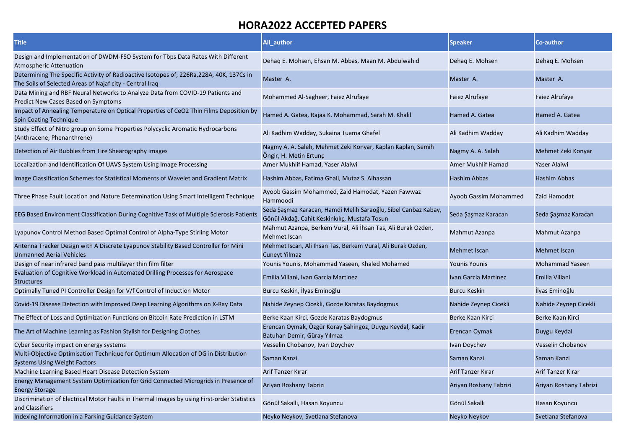| <b>Title</b>                                                                                                                                         | All_author                                                                                                      | <b>Speaker</b>           | Co-author                |
|------------------------------------------------------------------------------------------------------------------------------------------------------|-----------------------------------------------------------------------------------------------------------------|--------------------------|--------------------------|
| Design and Implementation of DWDM-FSO System for Tbps Data Rates With Different<br><b>Atmospheric Attenuation</b>                                    | Dehaq E. Mohsen, Ehsan M. Abbas, Maan M. Abdulwahid                                                             | Dehaq E. Mohsen          | Dehaq E. Mohsen          |
| Determining The Specific Activity of Radioactive Isotopes of, 226Ra, 228A, 40K, 137Cs in<br>The Soils of Selected Areas of Najaf city - Central Iraq | Master A.                                                                                                       | Master A.                | Master A.                |
| Data Mining and RBF Neural Networks to Analyze Data from COVID-19 Patients and<br>Predict New Cases Based on Symptoms                                | Mohammed Al-Sagheer, Faiez Alrufaye                                                                             | Faiez Alrufaye           | Faiez Alrufaye           |
| Impact of Annealing Temperature on Optical Properties of CeO2 Thin Films Deposition by<br><b>Spin Coating Technique</b>                              | Hamed A. Gatea, Rajaa K. Mohammad, Sarah M. Khalil                                                              | Hamed A. Gatea           | Hamed A. Gatea           |
| Study Effect of Nitro group on Some Properties Polycyclic Aromatic Hydrocarbons<br>(Anthracene; Phenanthrene)                                        | Ali Kadhim Wadday, Sukaina Tuama Ghafel                                                                         | Ali Kadhim Wadday        | Ali Kadhim Wadday        |
| Detection of Air Bubbles from Tire Shearography Images                                                                                               | Nagmy A. A. Saleh, Mehmet Zeki Konyar, Kaplan Kaplan, Semih<br>Öngir, H. Metin Ertunç                           | Nagmy A. A. Saleh        | Mehmet Zeki Konyar       |
| Localization and Identification Of UAVS System Using Image Processing                                                                                | Amer Mukhlif Hamad, Yaser Alaiwi                                                                                | Amer Mukhlif Hamad       | Yaser Alaiwi             |
| Image Classification Schemes for Statistical Moments of Wavelet and Gradient Matrix                                                                  | Hashim Abbas, Fatima Ghali, Mutaz S. Alhassan                                                                   | Hashim Abbas             | <b>Hashim Abbas</b>      |
| Three Phase Fault Location and Nature Determination Using Smart Intelligent Technique                                                                | Ayoob Gassim Mohammed, Zaid Hamodat, Yazen Fawwaz<br>Hammoodi                                                   | Ayoob Gassim Mohammed    | Zaid Hamodat             |
| EEG Based Environment Classification During Cognitive Task of Multiple Sclerosis Patients                                                            | Seda Şaşmaz Karacan, Hamdi Melih Saraoğlu, Sibel Canbaz Kabay,<br>Gönül Akdağ, Cahit Keskinkılıç, Mustafa Tosun | Seda Şaşmaz Karacan      | Seda Şaşmaz Karacan      |
| Lyapunov Control Method Based Optimal Control of Alpha-Type Stirling Motor                                                                           | Mahmut Azanpa, Berkem Vural, Ali İhsan Tas, Ali Burak Ozden,<br>Mehmet Iscan                                    | Mahmut Azanpa            | Mahmut Azanpa            |
| Antenna Tracker Design with A Discrete Lyapunov Stability Based Controller for Mini<br><b>Unmanned Aerial Vehicles</b>                               | Mehmet Iscan, Ali Ihsan Tas, Berkem Vural, Ali Burak Ozden,<br><b>Cuneyt Yilmaz</b>                             | Mehmet Iscan             | <b>Mehmet Iscan</b>      |
| Design of near infrared band pass multilayer thin film filter                                                                                        | Younis Younis, Mohammad Yaseen, Khaled Mohamed                                                                  | <b>Younis Younis</b>     | Mohammad Yaseen          |
| Evaluation of Cognitive Workload in Automated Drilling Processes for Aerospace<br><b>Structures</b>                                                  | Emilia Villani, Ivan Garcia Martinez                                                                            | Ivan Garcia Martinez     | Emilia Villani           |
| Optimally Tuned PI Controller Design for V/f Control of Induction Motor                                                                              | Burcu Keskin, İlyas Eminoğlu                                                                                    | <b>Burcu Keskin</b>      | Ilyas Eminoğlu           |
| Covid-19 Disease Detection with Improved Deep Learning Algorithms on X-Ray Data                                                                      | Nahide Zeynep Cicekli, Gozde Karatas Baydogmus                                                                  | Nahide Zeynep Cicekli    | Nahide Zeynep Cicekli    |
| The Effect of Loss and Optimization Functions on Bitcoin Rate Prediction in LSTM                                                                     | Berke Kaan Kirci, Gozde Karatas Baydogmus                                                                       | Berke Kaan Kirci         | Berke Kaan Kirci         |
| The Art of Machine Learning as Fashion Stylish for Designing Clothes                                                                                 | Erencan Oymak, Özgür Koray Şahingöz, Duygu Keydal, Kadir<br>Batuhan Demir, Güray Yılmaz                         | Erencan Oymak            | Duygu Keydal             |
| Cyber Security impact on energy systems                                                                                                              | Vesselin Chobanov, Ivan Doychev                                                                                 | Ivan Doychev             | <b>Vesselin Chobanov</b> |
| Multi-Objective Optimisation Technique for Optimum Allocation of DG in Distribution                                                                  | Saman Kanzi                                                                                                     | Saman Kanzi              | Saman Kanzi              |
| <b>Systems Using Weight Factors</b>                                                                                                                  |                                                                                                                 |                          |                          |
| Machine Learning Based Heart Disease Detection System                                                                                                | <b>Arif Tanzer Kırar</b>                                                                                        | <b>Arif Tanzer Kırar</b> | Arif Tanzer Kırar        |
| Energy Management System Optimization for Grid Connected Microgrids in Presence of<br><b>Energy Storage</b>                                          | Ariyan Roshany Tabrizi                                                                                          | Ariyan Roshany Tabrizi   | Ariyan Roshany Tabrizi   |
| Discrimination of Electrical Motor Faults in Thermal Images by using First-order Statistics<br>and Classifiers                                       | Gönül Sakallı, Hasan Koyuncu                                                                                    | Gönül Sakallı            | Hasan Koyuncu            |
| Indexing Information in a Parking Guidance System                                                                                                    | Neyko Neykov, Svetlana Stefanova                                                                                | Neyko Neykov             | Svetlana Stefanova       |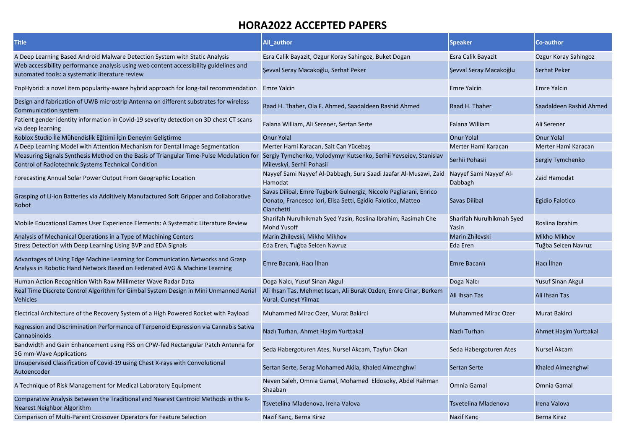| <b>Title</b>                                                                                                                                                                                                    | All_author                                                                                                                                      | <b>Speaker</b>                     | <b>Co-author</b>         |
|-----------------------------------------------------------------------------------------------------------------------------------------------------------------------------------------------------------------|-------------------------------------------------------------------------------------------------------------------------------------------------|------------------------------------|--------------------------|
| A Deep Learning Based Android Malware Detection System with Static Analysis                                                                                                                                     | Esra Calik Bayazit, Ozgur Koray Sahingoz, Buket Dogan                                                                                           | Esra Calik Bayazit                 | Ozgur Koray Sahingoz     |
| Web accessibility performance analysis using web content accessibility guidelines and<br>automated tools: a systematic literature review                                                                        | Şevval Seray Macakoğlu, Serhat Peker                                                                                                            | Şevval Seray Macakoğlu             | <b>Serhat Peker</b>      |
| PopHybrid: a novel item popularity-aware hybrid approach for long-tail recommendation Emre Yalcin                                                                                                               |                                                                                                                                                 | <b>Emre Yalcin</b>                 | <b>Emre Yalcin</b>       |
| Design and fabrication of UWB microstrip Antenna on different substrates for wireless<br>Communication system                                                                                                   | Raad H. Thaher, Ola F. Ahmed, Saadaldeen Rashid Ahmed                                                                                           | Raad H. Thaher                     | Saadaldeen Rashid Ahmed  |
| Patient gender identity information in Covid-19 severity detection on 3D chest CT scans<br>via deep learning                                                                                                    | Falana William, Ali Serener, Sertan Serte                                                                                                       | Falana William                     | Ali Serener              |
| Roblox Studio İle Mühendislik Eğitimi İçin Deneyim Geliştirme                                                                                                                                                   | <b>Onur Yolal</b>                                                                                                                               | <b>Onur Yolal</b>                  | <b>Onur Yolal</b>        |
| A Deep Learning Model with Attention Mechanism for Dental Image Segmentation                                                                                                                                    | Merter Hami Karacan, Sait Can Yücebaş                                                                                                           | Merter Hami Karacan                | Merter Hami Karacan      |
| Measuring Signals Synthesis Method on the Basis of Triangular Time-Pulse Modulation for Sergiy Tymchenko, Volodymyr Kutsenko, Serhii Yevseiev, Stanislav<br>Control of Radiotechnic Systems Technical Condition | Milevskyi, Serhii Pohasii                                                                                                                       | Serhii Pohasii                     | Sergiy Tymchenko         |
| Forecasting Annual Solar Power Output From Geographic Location                                                                                                                                                  | Nayyef Sami Nayyef Al-Dabbagh, Sura Saadi Jaafar Al-Musawi, Zaid Nayyef Sami Nayyef Al-<br>Hamodat                                              | Dabbagh                            | Zaid Hamodat             |
| Grasping of Li-ion Batteries via Additively Manufactured Soft Gripper and Collaborative<br>Robot                                                                                                                | Savas Dilibal, Emre Tugberk Gulnergiz, Niccolo Pagliarani, Enrico<br>Donato, Francesco Iori, Elisa Setti, Egidio Falotico, Matteo<br>Cianchetti | <b>Savas Dilibal</b>               | Egidio Falotico          |
| Mobile Educational Games User Experience Elements: A Systematic Literature Review                                                                                                                               | Sharifah Nurulhikmah Syed Yasin, Roslina Ibrahim, Rasimah Che<br><b>Mohd Yusoff</b>                                                             | Sharifah Nurulhikmah Syed<br>Yasin | Roslina Ibrahim          |
| Analysis of Mechanical Operations in a Type of Machining Centers                                                                                                                                                | Marin Zhilevski, Mikho Mikhov                                                                                                                   | Marin Zhilevski                    | <b>Mikho Mikhov</b>      |
| Stress Detection with Deep Learning Using BVP and EDA Signals                                                                                                                                                   | Eda Eren, Tuğba Selcen Navruz                                                                                                                   | Eda Eren                           | Tuğba Selcen Navruz      |
| Advantages of Using Edge Machine Learning for Communication Networks and Grasp<br>Analysis in Robotic Hand Network Based on Federated AVG & Machine Learning                                                    | Emre Bacanlı, Hacı İlhan                                                                                                                        | Emre Bacanlı                       | Hacı İlhan               |
| Human Action Recognition With Raw Millimeter Wave Radar Data                                                                                                                                                    | Doga Nalci, Yusuf Sinan Akgul                                                                                                                   | Doga Nalcı                         | <b>Yusuf Sinan Akgul</b> |
| Real Time Discrete Control Algorithm for Gimbal System Design in Mini Unmanned Aerial<br><b>Vehicles</b>                                                                                                        | Ali Ihsan Tas, Mehmet Iscan, Ali Burak Ozden, Emre Cinar, Berkem<br>Vural, Cuneyt Yilmaz                                                        | Ali Ihsan Tas                      | Ali Ihsan Tas            |
| Electrical Architecture of the Recovery System of a High Powered Rocket with Payload                                                                                                                            | Muhammed Mirac Ozer, Murat Bakirci                                                                                                              | <b>Muhammed Mirac Ozer</b>         | <b>Murat Bakirci</b>     |
| Regression and Discrimination Performance of Terpenoid Expression via Cannabis Sativa<br>Cannabinoids                                                                                                           | Nazlı Turhan, Ahmet Haşim Yurttakal                                                                                                             | Nazlı Turhan                       | Ahmet Haşim Yurttakal    |
| Bandwidth and Gain Enhancement using FSS on CPW-fed Rectangular Patch Antenna for<br>5G mm-Wave Applications                                                                                                    | Seda Habergoturen Ates, Nursel Akcam, Tayfun Okan                                                                                               | Seda Habergoturen Ates             | <b>Nursel Akcam</b>      |
| Unsupervised Classification of Covid-19 using Chest X-rays with Convolutional<br>Autoencoder                                                                                                                    | Sertan Serte, Serag Mohamed Akila, Khaled Almezhghwi                                                                                            | <b>Sertan Serte</b>                | Khaled Almezhghwi        |
| A Technique of Risk Management for Medical Laboratory Equipment                                                                                                                                                 | Neven Saleh, Omnia Gamal, Mohamed Eldosoky, Abdel Rahman<br>Shaaban                                                                             | Omnia Gamal                        | Omnia Gamal              |
| Comparative Analysis Between the Traditional and Nearest Centroid Methods in the K-<br>Nearest Neighbor Algorithm                                                                                               | Tsvetelina Mladenova, Irena Valova                                                                                                              | Tsvetelina Mladenova               | Irena Valova             |
| Comparison of Multi-Parent Crossover Operators for Feature Selection                                                                                                                                            | Nazif Kanç, Berna Kiraz                                                                                                                         | Nazif Kanc                         | Berna Kiraz              |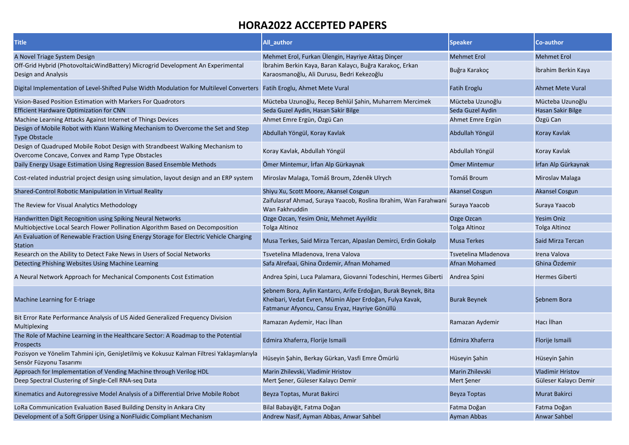| <b>Title</b>                                                                                                                      | All author                                                                                                                                                                   | <b>Speaker</b>        | Co-author               |
|-----------------------------------------------------------------------------------------------------------------------------------|------------------------------------------------------------------------------------------------------------------------------------------------------------------------------|-----------------------|-------------------------|
| A Novel Triage System Design                                                                                                      | Mehmet Erol, Furkan Ülengin, Hayriye Aktaş Dinçer                                                                                                                            | <b>Mehmet Erol</b>    | <b>Mehmet Erol</b>      |
| Off-Grid Hybrid (PhotovoltaicWindBattery) Microgrid Development An Experimental                                                   | İbrahim Berkin Kaya, Baran Kalaycı, Buğra Karakoç, Erkan                                                                                                                     |                       |                         |
| Design and Analysis                                                                                                               | Karaosmanoğlu, Ali Durusu, Bedri Kekezoğlu                                                                                                                                   | Buğra Karakoç         | İbrahim Berkin Kaya     |
| Digital Implementation of Level-Shifted Pulse Width Modulation for Multilevel Converters Fatih Eroglu, Ahmet Mete Vural           |                                                                                                                                                                              | Fatih Eroglu          | <b>Ahmet Mete Vural</b> |
| Vision-Based Position Estimation with Markers For Quadrotors                                                                      | Mücteba Uzunoğlu, Recep Behlül Şahin, Muharrem Mercimek                                                                                                                      | Mücteba Uzunoğlu      | Mücteba Uzunoğlu        |
| <b>Efficient Hardware Optimization for CNN</b>                                                                                    | Seda Guzel Aydin, Hasan Sakir Bilge                                                                                                                                          | Seda Guzel Aydin      | Hasan Sakir Bilge       |
| Machine Learning Attacks Against Internet of Things Devices                                                                       | Ahmet Emre Ergün, Özgü Can                                                                                                                                                   | Ahmet Emre Ergün      | Özgü Can                |
| Design of Mobile Robot with Klann Walking Mechanism to Overcome the Set and Step<br><b>Type Obstacle</b>                          | Abdullah Yöngül, Koray Kavlak                                                                                                                                                | Abdullah Yöngül       | Koray Kavlak            |
| Design of Quadruped Mobile Robot Design with Strandbeest Walking Mechanism to<br>Overcome Concave, Convex and Ramp Type Obstacles | Koray Kavlak, Abdullah Yöngül                                                                                                                                                | Abdullah Yöngül       | Koray Kavlak            |
| Daily Energy Usage Estimation Using Regression Based Ensemble Methods                                                             | Ömer Mintemur, İrfan Alp Gürkaynak                                                                                                                                           | Ömer Mintemur         | İrfan Alp Gürkaynak     |
| Cost-related industrial project design using simulation, layout design and an ERP system                                          | Miroslav Malaga, Tomáš Broum, Zdeněk Ulrych                                                                                                                                  | Tomáš Broum           | Miroslav Malaga         |
| Shared-Control Robotic Manipulation in Virtual Reality                                                                            | Shiyu Xu, Scott Moore, Akansel Cosgun                                                                                                                                        | <b>Akansel Cosgun</b> | <b>Akansel Cosgun</b>   |
| The Review for Visual Analytics Methodology                                                                                       | Zaifulasraf Ahmad, Suraya Yaacob, Roslina Ibrahim, Wan Farahwani<br>Wan Fakhruddin                                                                                           | Suraya Yaacob         | Suraya Yaacob           |
| Handwritten Digit Recognition using Spiking Neural Networks                                                                       | Ozge Ozcan, Yesim Oniz, Mehmet Ayyildiz                                                                                                                                      | Ozge Ozcan            | <b>Yesim Oniz</b>       |
| Multiobjective Local Search Flower Pollination Algorithm Based on Decomposition                                                   | Tolga Altinoz                                                                                                                                                                | <b>Tolga Altinoz</b>  | Tolga Altinoz           |
| An Evaluation of Renewable Fraction Using Energy Storage for Electric Vehicle Charging<br><b>Station</b>                          | Musa Terkes, Said Mirza Tercan, Alpaslan Demirci, Erdin Gokalp                                                                                                               | <b>Musa Terkes</b>    | Said Mirza Tercan       |
| Research on the Ability to Detect Fake News in Users of Social Networks                                                           | Tsvetelina Mladenova, Irena Valova                                                                                                                                           | Tsvetelina Mladenova  | Irena Valova            |
| Detecting Phishing Websites Using Machine Learning                                                                                | Safa Alrefaai, Ghina Özdemir, Afnan Mohamed                                                                                                                                  | Afnan Mohamed         | Ghina Özdemir           |
| A Neural Network Approach for Mechanical Components Cost Estimation                                                               | Andrea Spini, Luca Palamara, Giovanni Todeschini, Hermes Giberti                                                                                                             | Andrea Spini          | <b>Hermes Giberti</b>   |
| Machine Learning for E-triage                                                                                                     | Şebnem Bora, Aylin Kantarcı, Arife Erdoğan, Burak Beynek, Bita<br>Kheibari, Vedat Evren, Mümin Alper Erdoğan, Fulya Kavak,<br>Fatmanur Afyoncu, Cansu Eryaz, Hayriye Gönüllü | <b>Burak Beynek</b>   | Sebnem Bora             |
| Bit Error Rate Performance Analysis of LIS Aided Generalized Frequency Division<br>Multiplexing                                   | Ramazan Aydemir, Hacı İlhan                                                                                                                                                  | Ramazan Aydemir       | Hacı İlhan              |
| The Role of Machine Learning in the Healthcare Sector: A Roadmap to the Potential<br>Prospects                                    | Edmira Xhaferra, Florije Ismaili                                                                                                                                             | Edmira Xhaferra       | Florije Ismaili         |
| Pozisyon ve Yönelim Tahmini için, Genişletilmiş ve Kokusuz Kalman Filtresi Yaklaşımlarıyla<br>Sensör Füzyonu Tasarımı             | Hüseyin Şahin, Berkay Gürkan, Vasfi Emre Ömürlü                                                                                                                              | Hüseyin Şahin         | Hüseyin Şahin           |
| Approach for Implementation of Vending Machine through Verilog HDL                                                                | Marin Zhilevski, Vladimir Hristov                                                                                                                                            | Marin Zhilevski       | <b>Vladimir Hristov</b> |
| Deep Spectral Clustering of Single-Cell RNA-seq Data                                                                              | Mert Şener, Güleser Kalaycı Demir                                                                                                                                            | Mert Şener            | Güleser Kalaycı Demir   |
| Kinematics and Autoregressive Model Analysis of a Differential Drive Mobile Robot                                                 | Beyza Toptas, Murat Bakirci                                                                                                                                                  | <b>Beyza Toptas</b>   | <b>Murat Bakirci</b>    |
| LoRa Communication Evaluation Based Building Density in Ankara City                                                               | Bilal Babayiğit, Fatma Doğan                                                                                                                                                 | Fatma Doğan           | Fatma Doğan             |
| Development of a Soft Gripper Using a NonFluidic Compliant Mechanism                                                              | Andrew Nasif, Ayman Abbas, Anwar Sahbel                                                                                                                                      | Ayman Abbas           | <b>Anwar Sahbel</b>     |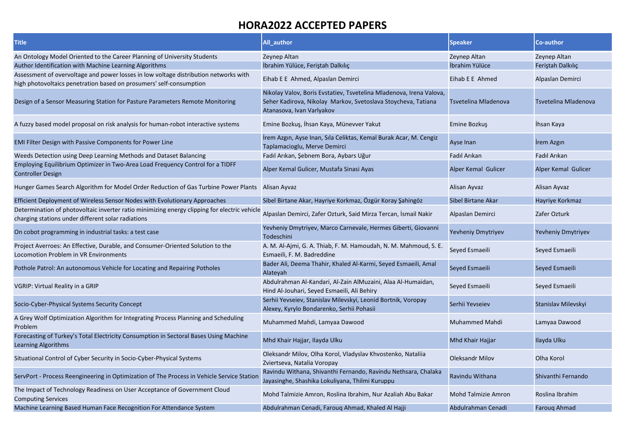| <b>Title</b>                                                                                                                                                | All_author                                                                                                                                                        | <b>Speaker</b>             | Co-author            |
|-------------------------------------------------------------------------------------------------------------------------------------------------------------|-------------------------------------------------------------------------------------------------------------------------------------------------------------------|----------------------------|----------------------|
| An Ontology Model Oriented to the Career Planning of University Students                                                                                    | Zeynep Altan                                                                                                                                                      | Zeynep Altan               | Zeynep Altan         |
| Author Identification with Machine Learning Algorithms                                                                                                      | İbrahim Yülüce, Feriştah Dalkılıç                                                                                                                                 | İbrahim Yülüce             | Feristah Dalkılıç    |
| Assessment of overvoltage and power losses in low voltage distribution networks with<br>high photovoltaics penetration based on prosumers' self-consumption | Eihab E E Ahmed, Alpaslan Demirci                                                                                                                                 | Eihab E E Ahmed            | Alpaslan Demirci     |
| Design of a Sensor Measuring Station for Pasture Parameters Remote Monitoring                                                                               | Nikolay Valov, Boris Evstatiev, Tsvetelina Mladenova, Irena Valova,<br>Seher Kadirova, Nikolay Markov, Svetoslava Stoycheva, Tatiana<br>Atanasova, Ivan Varlyakov | Tsvetelina Mladenova       | Tsvetelina Mladenova |
| A fuzzy based model proposal on risk analysis for human-robot interactive systems                                                                           | Emine Bozkuş, İhsan Kaya, Münevver Yakut                                                                                                                          | Emine Bozkuş               | Ihsan Kaya           |
| <b>EMI Filter Design with Passive Components for Power Line</b>                                                                                             | İrem Azgın, Ayse Inan, Sıla Celiktas, Kemal Burak Acar, M. Cengiz<br>Taplamacioglu, Merve Demirci                                                                 | Ayse Inan                  | <b>Irem Azgin</b>    |
| Weeds Detection using Deep Learning Methods and Dataset Balancing                                                                                           | Fadıl Arıkan, Şebnem Bora, Aybars Uğur                                                                                                                            | Fadıl Arıkan               | Fadıl Arıkan         |
| Employing Equilibrium Optimizer in Two-Area Load Frequency Control for a TIDFF<br><b>Controller Design</b>                                                  | Alper Kemal Gulicer, Mustafa Sinasi Ayas                                                                                                                          | Alper Kemal Gulicer        | Alper Kemal Gulicer  |
| Hunger Games Search Algorithm for Model Order Reduction of Gas Turbine Power Plants Alisan Ayvaz                                                            |                                                                                                                                                                   | Alisan Ayvaz               | Alisan Ayvaz         |
| Efficient Deployment of Wireless Sensor Nodes with Evolutionary Approaches                                                                                  | Sibel Birtane Akar, Hayriye Korkmaz, Özgür Koray Şahingöz                                                                                                         | Sibel Birtane Akar         | Hayriye Korkmaz      |
| Determination of photovoltaic inverter ratio minimizing energy clipping for electric vehicle<br>charging stations under different solar radiations          | Alpaslan Demirci, Zafer Ozturk, Said Mirza Tercan, İsmail Nakir                                                                                                   | Alpaslan Demirci           | Zafer Ozturk         |
| On cobot programming in industrial tasks: a test case                                                                                                       | Yevheniy Dmytriyev, Marco Carnevale, Hermes Giberti, Giovanni<br>Todeschini                                                                                       | Yevheniy Dmytriyev         | Yevheniy Dmytriyev   |
| Project Averroes: An Effective, Durable, and Consumer-Oriented Solution to the<br>Locomotion Problem in VR Environments                                     | A. M. Al-Ajmi, G. A. Thiab, F. M. Hamoudah, N. M. Mahmoud, S. E.<br>Esmaeili, F. M. Badreddine                                                                    | Seyed Esmaeili             | Seyed Esmaeili       |
| Pothole Patrol: An autonomous Vehicle for Locating and Repairing Potholes                                                                                   | Bader Ali, Deema Thahir, Khaled Al-Karmi, Seyed Esmaeili, Amal<br>Alateyah                                                                                        | Seyed Esmaeili             | Seyed Esmaeili       |
| <b>VGRIP: Virtual Reality in a GRIP</b>                                                                                                                     | Abdulrahman Al-Kandari, Al-Zain AlMuzaini, Alaa Al-Humaidan,<br>Hind Al-Jouhari, Seyed Esmaeili, Ali Behiry                                                       | Seyed Esmaeili             | Seyed Esmaeili       |
| Socio-Cyber-Physical Systems Security Concept                                                                                                               | Serhii Yevseiev, Stanislav Milevskyi, Leonid Bortnik, Voropay<br>Alexey, Kyrylo Bondarenko, Serhii Pohasii                                                        | Serhii Yevseiev            | Stanislav Milevskyi  |
| A Grey Wolf Optimization Algorithm for Integrating Process Planning and Scheduling<br>Problem                                                               | Muhammed Mahdi, Lamyaa Dawood                                                                                                                                     | <b>Muhammed Mahdi</b>      | Lamyaa Dawood        |
| Forecasting of Turkey's Total Electricity Consumption in Sectoral Bases Using Machine<br>Learning Algorithms                                                | Mhd Khair Hajjar, Ilayda Ulku                                                                                                                                     | Mhd Khair Hajjar           | Ilayda Ulku          |
| Situational Control of Cyber Security in Socio-Cyber-Physical Systems                                                                                       | Oleksandr Milov, Olha Korol, Vladyslav Khvostenko, Natalija<br>Zviertseva, Natalia Voropay                                                                        | <b>Oleksandr Milov</b>     | Olha Korol           |
| ServPort - Process Reengineering in Optimization of The Process in Vehicle Service Statior                                                                  | Ravindu Withana, Shivanthi Fernando, Ravindu Nethsara, Chalaka<br>Jayasinghe, Shashika Lokuliyana, Thilmi Kuruppu                                                 | Ravindu Withana            | Shivanthi Fernando   |
| The Impact of Technology Readiness on User Acceptance of Government Cloud<br><b>Computing Services</b>                                                      | Mohd Talmizie Amron, Roslina Ibrahim, Nur Azaliah Abu Bakar                                                                                                       | <b>Mohd Talmizie Amron</b> | Roslina Ibrahim      |
| Machine Learning Based Human Face Recognition For Attendance System                                                                                         | Abdulrahman Cenadi, Farouq Ahmad, Khaled Al Hajji                                                                                                                 | Abdulrahman Cenadi         | <b>Farouq Ahmad</b>  |